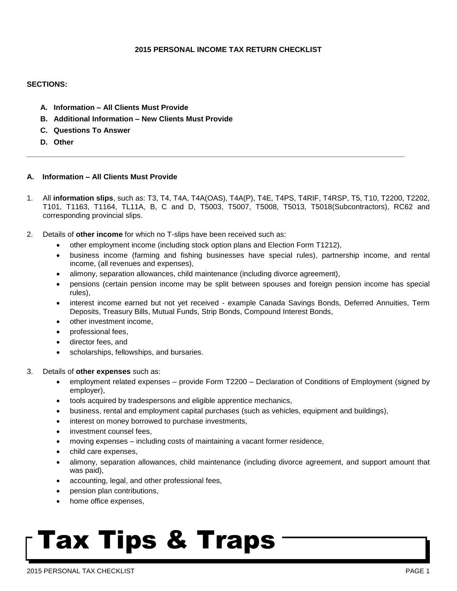#### **2015 PERSONAL INCOME TAX RETURN CHECKLIST**

#### **SECTIONS:**

- **A. Information – All Clients Must Provide**
- **B. Additional Information – New Clients Must Provide**
- **C. Questions To Answer**
- **D. Other**

### **A. Information – All Clients Must Provide**

1. All **information slips**, such as: T3, T4, T4A, T4A(OAS), T4A(P), T4E, T4PS, T4RIF, T4RSP, T5, T10, T2200, T2202, T101, T1163, T1164, TL11A, B, C and D, T5003, T5007, T5008, T5013, T5018(Subcontractors), RC62 and corresponding provincial slips.

**\_\_\_\_\_\_\_\_\_\_\_\_\_\_\_\_\_\_\_\_\_\_\_\_\_\_\_\_\_\_\_\_\_\_\_\_\_\_\_\_\_\_\_\_\_\_\_\_\_\_\_\_\_\_\_\_\_\_\_\_\_\_\_\_\_\_\_\_\_\_\_\_\_\_\_\_\_\_\_\_\_\_\_\_\_\_\_\_\_\_\_**

- 2. Details of **other income** for which no T-slips have been received such as:
	- other employment income (including stock option plans and Election Form T1212),
	- business income (farming and fishing businesses have special rules), partnership income, and rental income, (all revenues and expenses),
	- alimony, separation allowances, child maintenance (including divorce agreement),
	- pensions (certain pension income may be split between spouses and foreign pension income has special rules),
	- interest income earned but not yet received example Canada Savings Bonds, Deferred Annuities, Term Deposits, Treasury Bills, Mutual Funds, Strip Bonds, Compound Interest Bonds,
	- other investment income.
	- professional fees,
	- director fees, and
	- scholarships, fellowships, and bursaries.
- 3. Details of **other expenses** such as:
	- employment related expenses provide Form T2200 Declaration of Conditions of Employment (signed by employer),
	- tools acquired by tradespersons and eligible apprentice mechanics,
	- business, rental and employment capital purchases (such as vehicles, equipment and buildings),
	- interest on money borrowed to purchase investments,
	- investment counsel fees,
	- moving expenses including costs of maintaining a vacant former residence,
	- child care expenses,
	- alimony, separation allowances, child maintenance (including divorce agreement, and support amount that was paid),
	- accounting, legal, and other professional fees,
	- pension plan contributions,
	- home office expenses,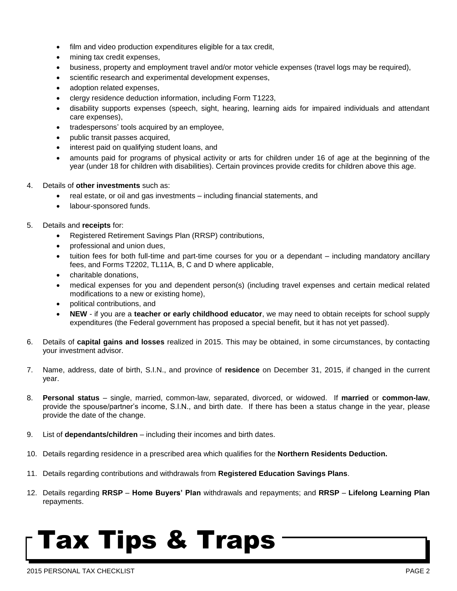- film and video production expenditures eligible for a tax credit,
- mining tax credit expenses,
- business, property and employment travel and/or motor vehicle expenses (travel logs may be required),
- scientific research and experimental development expenses,
- adoption related expenses,
- clergy residence deduction information, including Form T1223,
- disability supports expenses (speech, sight, hearing, learning aids for impaired individuals and attendant care expenses),
- tradespersons' tools acquired by an employee,
- public transit passes acquired,
- interest paid on qualifying student loans, and
- amounts paid for programs of physical activity or arts for children under 16 of age at the beginning of the year (under 18 for children with disabilities). Certain provinces provide credits for children above this age.
- 4. Details of **other investments** such as:
	- real estate, or oil and gas investments including financial statements, and
	- labour-sponsored funds.

#### 5. Details and **receipts** for:

- Registered Retirement Savings Plan (RRSP) contributions,
- professional and union dues,
- tuition fees for both full-time and part-time courses for you or a dependant including mandatory ancillary fees, and Forms T2202, TL11A, B, C and D where applicable,
- charitable donations,
- medical expenses for you and dependent person(s) (including travel expenses and certain medical related modifications to a new or existing home),
- political contributions, and
- **NEW**  if you are a **teacher or early childhood educator**, we may need to obtain receipts for school supply expenditures (the Federal government has proposed a special benefit, but it has not yet passed).
- 6. Details of **capital gains and losses** realized in 2015. This may be obtained, in some circumstances, by contacting your investment advisor.
- 7. Name, address, date of birth, S.I.N., and province of **residence** on December 31, 2015, if changed in the current year.
- 8. **Personal status**  single, married, common-law, separated, divorced, or widowed. If **married** or **common-law**, provide the spouse/partner's income, S.I.N., and birth date. If there has been a status change in the year, please provide the date of the change.
- 9. List of **dependants/children** including their incomes and birth dates.
- 10. Details regarding residence in a prescribed area which qualifies for the **Northern Residents Deduction.**
- 11. Details regarding contributions and withdrawals from **Registered Education Savings Plans**.
- 12. Details regarding **RRSP Home Buyers' Plan** withdrawals and repayments; and **RRSP Lifelong Learning Plan** repayments.

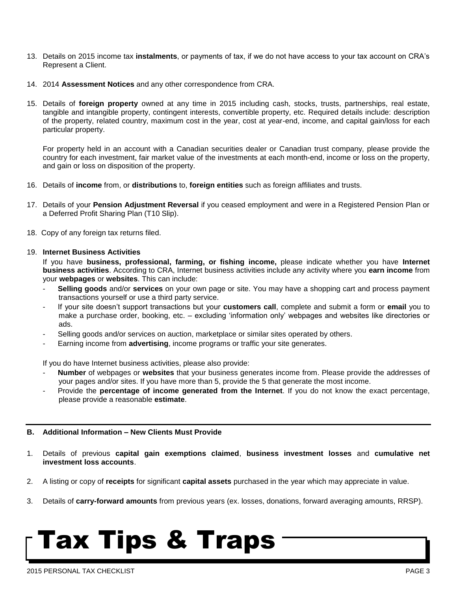- 13. Details on 2015 income tax **instalments**, or payments of tax, if we do not have access to your tax account on CRA's Represent a Client.
- 14. 2014 **Assessment Notices** and any other correspondence from CRA.
- 15. Details of **foreign property** owned at any time in 2015 including cash, stocks, trusts, partnerships, real estate, tangible and intangible property, contingent interests, convertible property, etc. Required details include: description of the property, related country, maximum cost in the year, cost at year-end, income, and capital gain/loss for each particular property.

For property held in an account with a Canadian securities dealer or Canadian trust company, please provide the country for each investment, fair market value of the investments at each month-end, income or loss on the property, and gain or loss on disposition of the property.

- 16. Details of **income** from, or **distributions** to, **foreign entities** such as foreign affiliates and trusts.
- 17. Details of your **Pension Adjustment Reversal** if you ceased employment and were in a Registered Pension Plan or a Deferred Profit Sharing Plan (T10 Slip).
- 18. Copy of any foreign tax returns filed.

#### 19. **Internet Business Activities**

If you have **business, professional, farming, or fishing income,** please indicate whether you have **Internet business activities**. According to CRA, Internet business activities include any activity where you **earn income** from your **webpages** or **websites**. This can include:

- - **Selling goods** and/or **services** on your own page or site. You may have a shopping cart and process payment transactions yourself or use a third party service.
- If your site doesn't support transactions but your **customers call**, complete and submit a form or **email** you to make a purchase order, booking, etc. – excluding 'information only' webpages and websites like directories or ads.
- Selling goods and/or services on auction, marketplace or similar sites operated by others.
- Earning income from **advertising**, income programs or traffic your site generates.

If you do have Internet business activities, please also provide:

- - **Number** of webpages or **websites** that your business generates income from. Please provide the addresses of your pages and/or sites. If you have more than 5, provide the 5 that generate the most income.
- Provide the **percentage of income generated from the Internet**. If you do not know the exact percentage, please provide a reasonable **estimate**.

#### **B. Additional Information – New Clients Must Provide**

- 1. Details of previous **capital gain exemptions claimed**, **business investment losses** and **cumulative net investment loss accounts**.
- 2. A listing or copy of **receipts** for significant **capital assets** purchased in the year which may appreciate in value.
- 3. Details of **carry-forward amounts** from previous years (ex. losses, donations, forward averaging amounts, RRSP).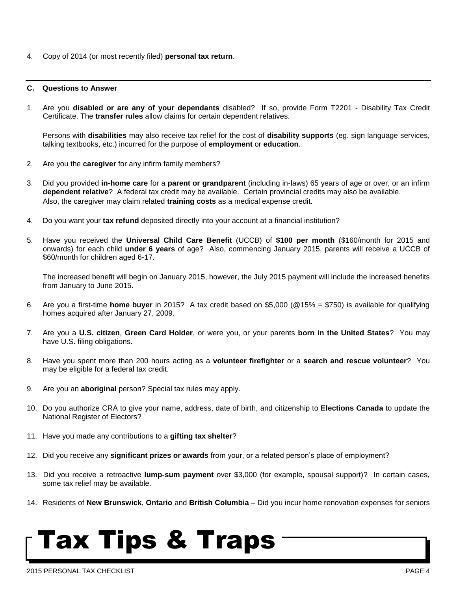4. Copy of 2014 (or most recently filed) **personal tax return**.

#### **C. Questions to Answer**

1. Are you **disabled or are any of your dependants** disabled? If so, provide Form T2201 - Disability Tax Credit Certificate. The **transfer rules** allow claims for certain dependent relatives.

Persons with **disabilities** may also receive tax relief for the cost of **disability supports** (eg. sign language services, talking textbooks, etc.) incurred for the purpose of **employment** or **education**.

- 2. Are you the **caregiver** for any infirm family members?
- 3. Did you provided **in-home care** for a **parent or grandparent** (including in-laws) 65 years of age or over, or an infirm **dependent relative**? A federal tax credit may be available. Certain provincial credits may also be available. Also, the caregiver may claim related **training costs** as a medical expense credit.
- 4. Do you want your **tax refund** deposited directly into your account at a financial institution?
- 5. Have you received the **Universal Child Care Benefit** (UCCB) of **\$100 per month** (\$160/month for 2015 and onwards) for each child **under 6 years** of age? Also, commencing January 2015, parents will receive a UCCB of \$60/month for children aged 6-17.

The increased benefit will begin on January 2015, however, the July 2015 payment will include the increased benefits from January to June 2015.

- 6. Are you a first-time **home buyer** in 2015? A tax credit based on \$5,000 (@15% = \$750) is available for qualifying homes acquired after January 27, 2009.
- 7. Are you a **U.S. citizen**, **Green Card Holder**, or were you, or your parents **born in the United States**? You may have U.S. filing obligations.
- 8. Have you spent more than 200 hours acting as a **volunteer firefighter** or a **search and rescue volunteer**? You may be eligible for a federal tax credit.
- 9. Are you an **aboriginal** person? Special tax rules may apply.
- 10. Do you authorize CRA to give your name, address, date of birth, and citizenship to **Elections Canada** to update the National Register of Electors?
- 11. Have you made any contributions to a **gifting tax shelter**?
- 12. Did you receive any **significant prizes or awards** from your, or a related person's place of employment?
- 13. Did you receive a retroactive **lump-sum payment** over \$3,000 (for example, spousal support)? In certain cases, some tax relief may be available.
- 14. Residents of **New Brunswick**, **Ontario** and **British Columbia** Did you incur home renovation expenses for seniors